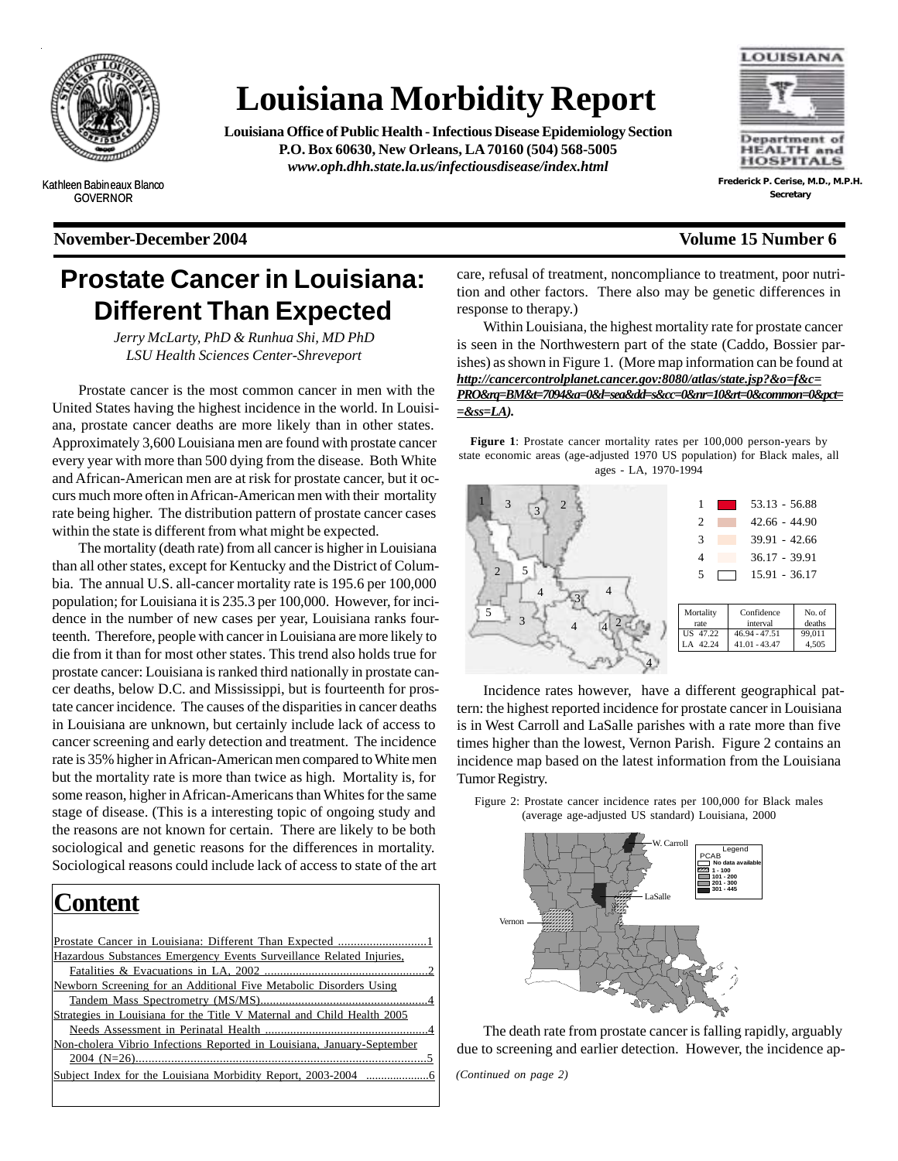

# **Louisiana Morbidity Report**

**Louisiana Office of Public Health - Infectious Disease Epidemiology Section P.O. Box 60630, New Orleans, LA 70160 (504) 568-5005** *www.oph.dhh.state.la.us/infectiousdisease/index.html*



**Frederick P. Cerise, M.D., M.P.H. Secretary**

Kathleen Babineaux Blanco GOVERNOR

#### **November-December 2004 Volume 15 Number 6**

# **Prostate Cancer in Louisiana: Different Than Expected**

*Jerry McLarty, PhD & Runhua Shi, MD PhD LSU Health Sciences Center-Shreveport*

Prostate cancer is the most common cancer in men with the United States having the highest incidence in the world. In Louisiana, prostate cancer deaths are more likely than in other states. Approximately 3,600 Louisiana men are found with prostate cancer every year with more than 500 dying from the disease. Both White and African-American men are at risk for prostate cancer, but it occurs much more often in African-American men with their mortality rate being higher. The distribution pattern of prostate cancer cases within the state is different from what might be expected.

The mortality (death rate) from all cancer is higher in Louisiana than all other states, except for Kentucky and the District of Columbia. The annual U.S. all-cancer mortality rate is 195.6 per 100,000 population; for Louisiana it is 235.3 per 100,000. However, for incidence in the number of new cases per year, Louisiana ranks fourteenth. Therefore, people with cancer in Louisiana are more likely to die from it than for most other states. This trend also holds true for prostate cancer: Louisiana is ranked third nationally in prostate cancer deaths, below D.C. and Mississippi, but is fourteenth for prostate cancer incidence. The causes of the disparities in cancer deaths in Louisiana are unknown, but certainly include lack of access to cancer screening and early detection and treatment. The incidence rate is 35% higher in African-American men compared to White men but the mortality rate is more than twice as high. Mortality is, for some reason, higher in African-Americans than Whites for the same stage of disease. (This is a interesting topic of ongoing study and the reasons are not known for certain. There are likely to be both sociological and genetic reasons for the differences in mortality. Sociological reasons could include lack of access to state of the art

| Content                                                                |  |
|------------------------------------------------------------------------|--|
|                                                                        |  |
| Hazardous Substances Emergency Events Surveillance Related Injuries,   |  |
|                                                                        |  |
| Newborn Screening for an Additional Five Metabolic Disorders Using     |  |
|                                                                        |  |
| Strategies in Louisiana for the Title V Maternal and Child Health 2005 |  |
|                                                                        |  |
| Non-cholera Vibrio Infections Reported in Louisiana, January-September |  |
|                                                                        |  |
|                                                                        |  |
|                                                                        |  |

care, refusal of treatment, noncompliance to treatment, poor nutrition and other factors. There also may be genetic differences in response to therapy.)

Within Louisiana, the highest mortality rate for prostate cancer is seen in the Northwestern part of the state (Caddo, Bossier parishes) as shown in Figure 1. (More map information can be found at *http://cancercontrolplanet.cancer.gov:8080/atlas/state.jsp?&o=f&c= PRO&rq=BM&t=7094&a=0&l=sea&dd=s&cc=0&nr=10&rt=0&common=0&pct= =&ss=LA).*

**Figure 1**: Prostate cancer mortality rates per 100,000 person-years by state economic areas (age-adjusted 1970 US population) for Black males, all ages - LA, 1970-1994



Incidence rates however, have a different geographical pattern: the highest reported incidence for prostate cancer in Louisiana is in West Carroll and LaSalle parishes with a rate more than five times higher than the lowest, Vernon Parish. Figure 2 contains an incidence map based on the latest information from the Louisiana Tumor Registry.

Figure 2: Prostate cancer incidence rates per 100,000 for Black males (average age-adjusted US standard) Louisiana, 2000



The death rate from prostate cancer is falling rapidly, arguably due to screening and earlier detection. However, the incidence ap-

*(Continued on page 2)*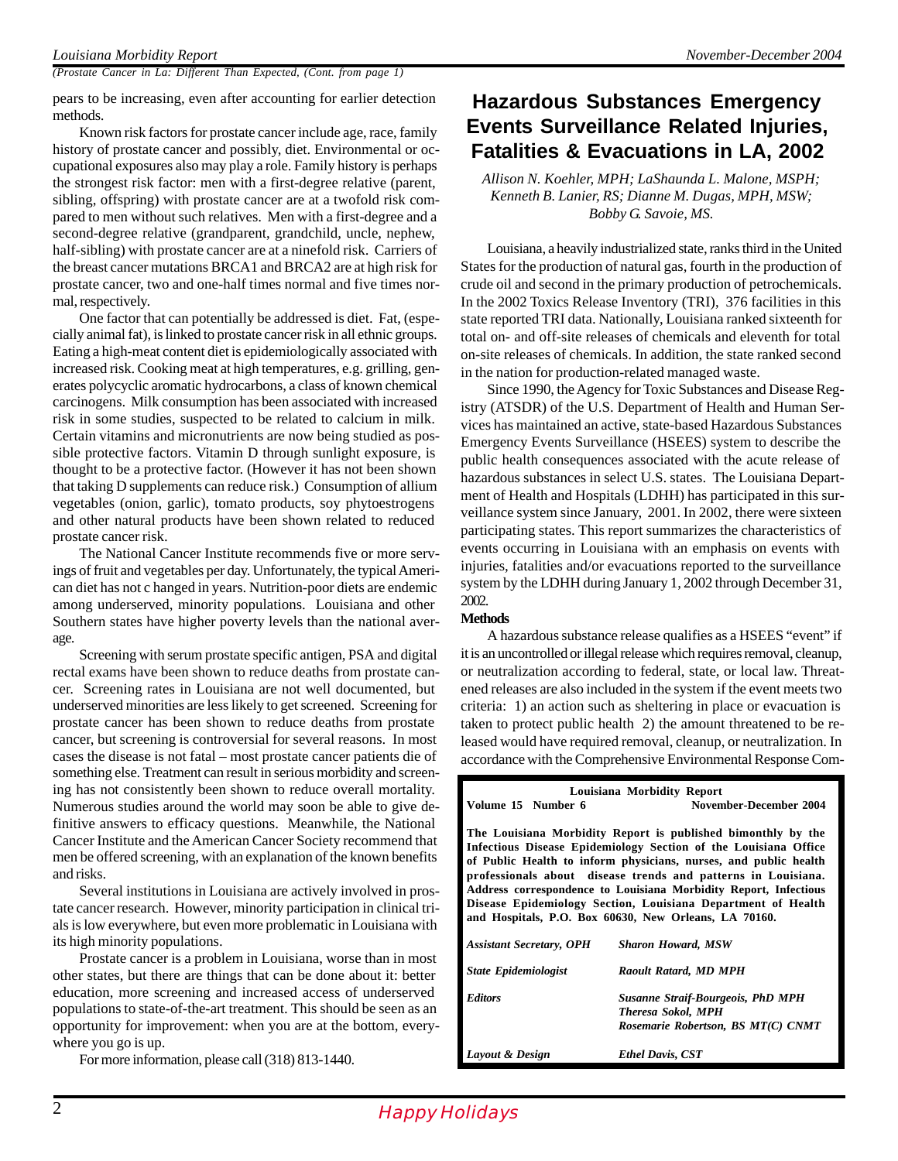*(Prostate Cancer in La: Different Than Expected, (Cont. from page 1)*

pears to be increasing, even after accounting for earlier detection methods.

Known risk factors for prostate cancer include age, race, family history of prostate cancer and possibly, diet. Environmental or occupational exposures also may play a role. Family history is perhaps the strongest risk factor: men with a first-degree relative (parent, sibling, offspring) with prostate cancer are at a twofold risk compared to men without such relatives. Men with a first-degree and a second-degree relative (grandparent, grandchild, uncle, nephew, half-sibling) with prostate cancer are at a ninefold risk. Carriers of the breast cancer mutations BRCA1 and BRCA2 are at high risk for prostate cancer, two and one-half times normal and five times normal, respectively.

One factor that can potentially be addressed is diet. Fat, (especially animal fat), is linked to prostate cancer risk in all ethnic groups. Eating a high-meat content diet is epidemiologically associated with increased risk. Cooking meat at high temperatures, e.g. grilling, generates polycyclic aromatic hydrocarbons, a class of known chemical carcinogens. Milk consumption has been associated with increased risk in some studies, suspected to be related to calcium in milk. Certain vitamins and micronutrients are now being studied as possible protective factors. Vitamin D through sunlight exposure, is thought to be a protective factor. (However it has not been shown that taking D supplements can reduce risk.) Consumption of allium vegetables (onion, garlic), tomato products, soy phytoestrogens and other natural products have been shown related to reduced prostate cancer risk.

The National Cancer Institute recommends five or more servings of fruit and vegetables per day. Unfortunately, the typical American diet has not c hanged in years. Nutrition-poor diets are endemic among underserved, minority populations. Louisiana and other Southern states have higher poverty levels than the national average.

Screening with serum prostate specific antigen, PSA and digital rectal exams have been shown to reduce deaths from prostate cancer. Screening rates in Louisiana are not well documented, but underserved minorities are less likely to get screened. Screening for prostate cancer has been shown to reduce deaths from prostate cancer, but screening is controversial for several reasons. In most cases the disease is not fatal – most prostate cancer patients die of something else. Treatment can result in serious morbidity and screening has not consistently been shown to reduce overall mortality. Numerous studies around the world may soon be able to give definitive answers to efficacy questions. Meanwhile, the National Cancer Institute and the American Cancer Society recommend that men be offered screening, with an explanation of the known benefits and risks.

Several institutions in Louisiana are actively involved in prostate cancer research. However, minority participation in clinical trials is low everywhere, but even more problematic in Louisiana with its high minority populations.

Prostate cancer is a problem in Louisiana, worse than in most other states, but there are things that can be done about it: better education, more screening and increased access of underserved populations to state-of-the-art treatment. This should be seen as an opportunity for improvement: when you are at the bottom, everywhere you go is up.

For more information, please call (318) 813-1440.

## **Hazardous Substances Emergency Events Surveillance Related Injuries, Fatalities & Evacuations in LA, 2002**

*Allison N. Koehler, MPH; LaShaunda L. Malone, MSPH; Kenneth B. Lanier, RS; Dianne M. Dugas, MPH, MSW; Bobby G. Savoie, MS.*

Louisiana, a heavily industrialized state, ranks third in the United States for the production of natural gas, fourth in the production of crude oil and second in the primary production of petrochemicals. In the 2002 Toxics Release Inventory (TRI), 376 facilities in this state reported TRI data. Nationally, Louisiana ranked sixteenth for total on- and off-site releases of chemicals and eleventh for total on-site releases of chemicals. In addition, the state ranked second in the nation for production-related managed waste.

Since 1990, the Agency for Toxic Substances and Disease Registry (ATSDR) of the U.S. Department of Health and Human Services has maintained an active, state-based Hazardous Substances Emergency Events Surveillance (HSEES) system to describe the public health consequences associated with the acute release of hazardous substances in select U.S. states. The Louisiana Department of Health and Hospitals (LDHH) has participated in this surveillance system since January, 2001. In 2002, there were sixteen participating states. This report summarizes the characteristics of events occurring in Louisiana with an emphasis on events with injuries, fatalities and/or evacuations reported to the surveillance system by the LDHH during January 1, 2002 through December 31, 2002.

#### **Methods**

A hazardous substance release qualifies as a HSEES "event" if it is an uncontrolled or illegal release which requires removal, cleanup, or neutralization according to federal, state, or local law. Threatened releases are also included in the system if the event meets two criteria: 1) an action such as sheltering in place or evacuation is taken to protect public health 2) the amount threatened to be released would have required removal, cleanup, or neutralization. In accordance with the Comprehensive Environmental Response Com-

| Louisiana Morbidity Report                                                                                                                                                                                                                                                                                                                                                                                                                                        |                                                                                                             |  |  |  |  |  |
|-------------------------------------------------------------------------------------------------------------------------------------------------------------------------------------------------------------------------------------------------------------------------------------------------------------------------------------------------------------------------------------------------------------------------------------------------------------------|-------------------------------------------------------------------------------------------------------------|--|--|--|--|--|
| Volume 15 Number 6                                                                                                                                                                                                                                                                                                                                                                                                                                                | November-December 2004                                                                                      |  |  |  |  |  |
| The Louisiana Morbidity Report is published bimonthly by the<br>Infectious Disease Epidemiology Section of the Louisiana Office<br>of Public Health to inform physicians, nurses, and public health<br>professionals about disease trends and patterns in Louisiana.<br>Address correspondence to Louisiana Morbidity Report, Infectious<br>Disease Epidemiology Section, Louisiana Department of Health<br>and Hospitals, P.O. Box 60630, New Orleans, LA 70160. |                                                                                                             |  |  |  |  |  |
| <b>Assistant Secretary, OPH</b>                                                                                                                                                                                                                                                                                                                                                                                                                                   | <b>Sharon Howard, MSW</b>                                                                                   |  |  |  |  |  |
| <b>State Epidemiologist</b>                                                                                                                                                                                                                                                                                                                                                                                                                                       | Raoult Ratard, MD MPH                                                                                       |  |  |  |  |  |
| <b>Editors</b>                                                                                                                                                                                                                                                                                                                                                                                                                                                    | <b>Susanne Straif-Bourgeois, PhD MPH</b><br><b>Theresa Sokol, MPH</b><br>Rosemarie Robertson, BS MT(C) CNMT |  |  |  |  |  |

*Layout & Design Ethel Davis, CST*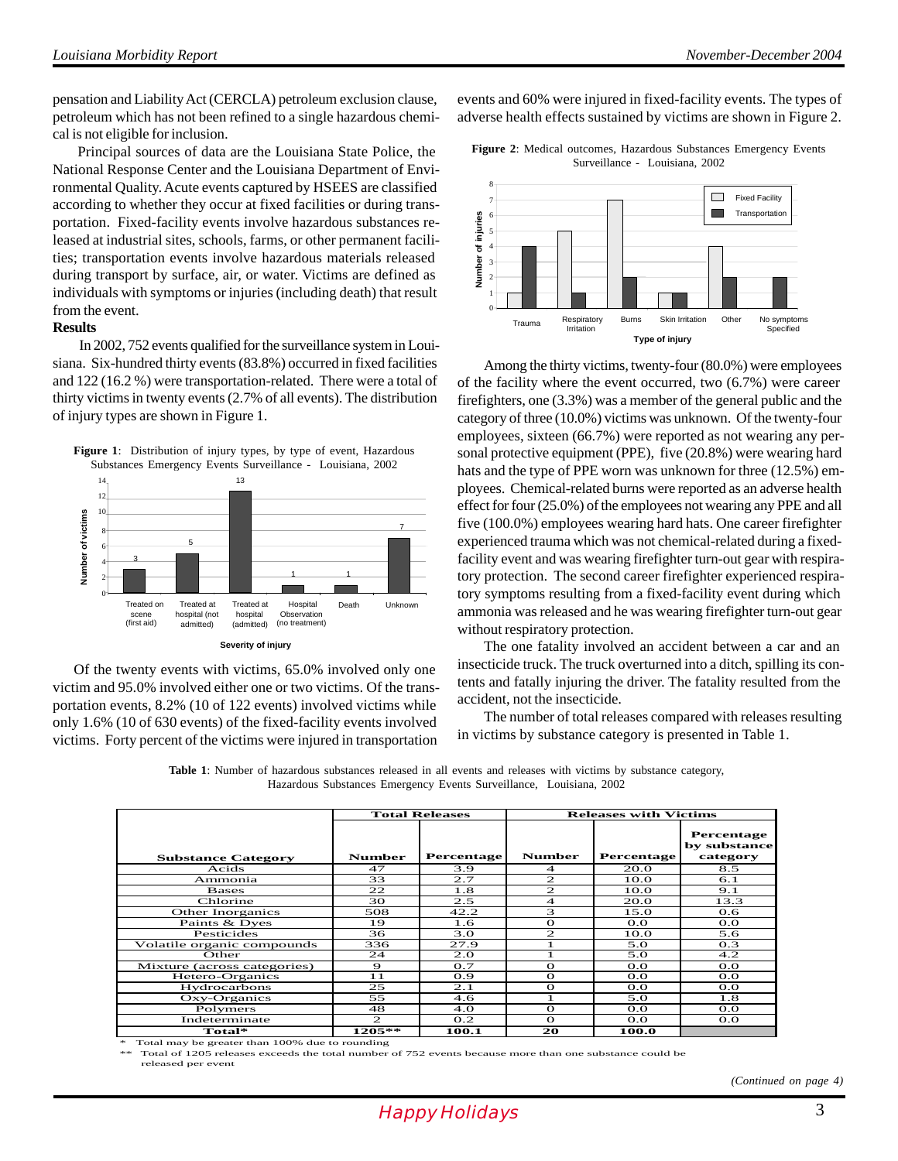pensation and Liability Act (CERCLA) petroleum exclusion clause, petroleum which has not been refined to a single hazardous chemical is not eligible for inclusion.

 Principal sources of data are the Louisiana State Police, the National Response Center and the Louisiana Department of Environmental Quality. Acute events captured by HSEES are classified according to whether they occur at fixed facilities or during transportation. Fixed-facility events involve hazardous substances released at industrial sites, schools, farms, or other permanent facilities; transportation events involve hazardous materials released during transport by surface, air, or water. Victims are defined as individuals with symptoms or injuries (including death) that result from the event.

#### **Results**

In 2002, 752 events qualified for the surveillance system in Louisiana. Six-hundred thirty events (83.8%) occurred in fixed facilities and 122 (16.2 %) were transportation-related. There were a total of thirty victims in twenty events (2.7% of all events). The distribution of injury types are shown in Figure 1.





 Of the twenty events with victims, 65.0% involved only one victim and 95.0% involved either one or two victims. Of the transportation events, 8.2% (10 of 122 events) involved victims while only 1.6% (10 of 630 events) of the fixed-facility events involved victims. Forty percent of the victims were injured in transportation

events and 60% were injured in fixed-facility events. The types of adverse health effects sustained by victims are shown in Figure 2.

**Figure 2**: Medical outcomes, Hazardous Substances Emergency Events Surveillance - Louisiana, 2002



Among the thirty victims, twenty-four (80.0%) were employees of the facility where the event occurred, two (6.7%) were career firefighters, one (3.3%) was a member of the general public and the category of three (10.0%) victims was unknown. Of the twenty-four employees, sixteen (66.7%) were reported as not wearing any personal protective equipment (PPE), five (20.8%) were wearing hard hats and the type of PPE worn was unknown for three  $(12.5\%)$  employees. Chemical-related burns were reported as an adverse health effect for four (25.0%) of the employees not wearing any PPE and all five (100.0%) employees wearing hard hats. One career firefighter experienced trauma which was not chemical-related during a fixedfacility event and was wearing firefighter turn-out gear with respiratory protection. The second career firefighter experienced respiratory symptoms resulting from a fixed-facility event during which ammonia was released and he was wearing firefighter turn-out gear without respiratory protection.

The one fatality involved an accident between a car and an insecticide truck. The truck overturned into a ditch, spilling its contents and fatally injuring the driver. The fatality resulted from the accident, not the insecticide.

The number of total releases compared with releases resulting in victims by substance category is presented in Table 1.

**Table 1**: Number of hazardous substances released in all events and releases with victims by substance category, Hazardous Substances Emergency Events Surveillance, Louisiana, 2002

|                             |                | <b>Total Releases</b> | <b>Releases with Victims</b> |                   |                                        |  |
|-----------------------------|----------------|-----------------------|------------------------------|-------------------|----------------------------------------|--|
| <b>Substance Category</b>   | <b>Number</b>  | <b>Percentage</b>     | <b>Number</b>                | <b>Percentage</b> | Percentage<br>by substance<br>category |  |
| Acids                       | 47             | 3.9                   | $\overline{\mathcal{A}}$     | 20.0              | 8.5                                    |  |
| Ammonia                     | 33             | 2.7                   | $\mathfrak{D}$               | 10.0              | 6.1                                    |  |
| <b>Bases</b>                | 22             | 1.8                   | $\overline{2}$               | 10.0              | 9.1                                    |  |
| Chlorine                    | 30             | 2.5                   | $\overline{4}$               | 20.0              | 13.3                                   |  |
| <b>Other Inorganics</b>     | 508            | 42.2                  | 3                            | 15.0              | 0.6                                    |  |
| Paints & Dyes               | 19             | 1.6                   | $\Omega$                     | $_{\rm OO}$       | O.O                                    |  |
| Pesticides                  | 36             | 3.0                   | $\mathbf{2}$                 | 10.0              | 5.6                                    |  |
| Volatile organic compounds  | 336            | 27.9                  |                              | 5.0               | O.3                                    |  |
| Other                       | 24             | 2.0                   |                              | 5.0               | 4.2                                    |  |
| Mixture (across categories) | $\bullet$      | 0.7                   | $\Omega$                     | O.O               | O.O                                    |  |
| Hetero-Organics             | 11             | 0.9                   | $\Omega$                     | O.O               | O.O                                    |  |
| Hydrocarbons                | 25             | 2.1                   | $\Omega$                     | O.O               | O.O                                    |  |
| Oxy-Organics                | 55             | 4.6                   |                              | 5.0               | 1.8                                    |  |
| Polymers                    | 48             | 4.0                   | $\Omega$                     | O.O               | O.O                                    |  |
| Indeterminate               | $\mathfrak{D}$ | 0.2                   | $\Omega$                     | O.O               | O.O                                    |  |
| $Total*$                    | $1205**$       | 100.1                 | 20                           | 100.0             |                                        |  |

Total may be greater than 100% due to rounding

Total of 1205 releases exceeds the total number of 752 events because more than one substance could be released per event

*(Continued on page 4)*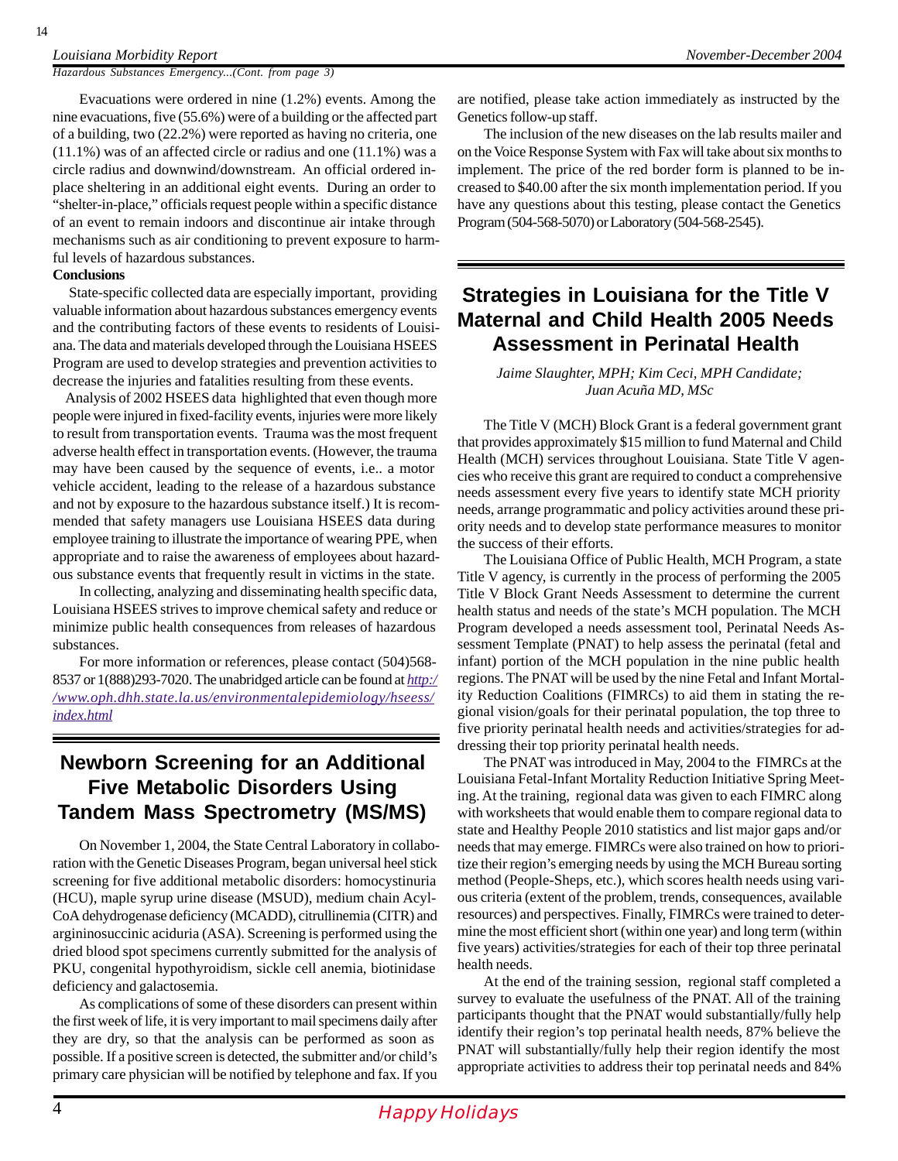#### *Louisiana Morbidity Report November-December 2004*

*Hazardous Substances Emergency...(Cont. from page 3)*

Evacuations were ordered in nine (1.2%) events. Among the nine evacuations, five (55.6%) were of a building or the affected part of a building, two (22.2%) were reported as having no criteria, one (11.1%) was of an affected circle or radius and one (11.1%) was a circle radius and downwind/downstream. An official ordered inplace sheltering in an additional eight events. During an order to "shelter-in-place," officials request people within a specific distance of an event to remain indoors and discontinue air intake through mechanisms such as air conditioning to prevent exposure to harmful levels of hazardous substances.

#### **Conclusions**

 State-specific collected data are especially important, providing valuable information about hazardous substances emergency events and the contributing factors of these events to residents of Louisiana. The data and materials developed through the Louisiana HSEES Program are used to develop strategies and prevention activities to decrease the injuries and fatalities resulting from these events.

 Analysis of 2002 HSEES data highlighted that even though more people were injured in fixed-facility events, injuries were more likely to result from transportation events. Trauma was the most frequent adverse health effect in transportation events. (However, the trauma may have been caused by the sequence of events, i.e.. a motor vehicle accident, leading to the release of a hazardous substance and not by exposure to the hazardous substance itself.) It is recommended that safety managers use Louisiana HSEES data during employee training to illustrate the importance of wearing PPE, when appropriate and to raise the awareness of employees about hazardous substance events that frequently result in victims in the state.

In collecting, analyzing and disseminating health specific data, Louisiana HSEES strives to improve chemical safety and reduce or minimize public health consequences from releases of hazardous substances.

For more information or references, please contact (504)568- 8537 or 1(888)293-7020. The unabridged article can be found at *http:/ /www.oph.dhh.state.la.us/environmentalepidemiology/hseess/ index.html*

## **Newborn Screening for an Additional Five Metabolic Disorders Using Tandem Mass Spectrometry (MS/MS)**

On November 1, 2004, the State Central Laboratory in collaboration with the Genetic Diseases Program, began universal heel stick screening for five additional metabolic disorders: homocystinuria (HCU), maple syrup urine disease (MSUD), medium chain Acyl-CoA dehydrogenase deficiency (MCADD), citrullinemia (CITR) and argininosuccinic aciduria (ASA). Screening is performed using the dried blood spot specimens currently submitted for the analysis of PKU, congenital hypothyroidism, sickle cell anemia, biotinidase deficiency and galactosemia.

As complications of some of these disorders can present within the first week of life, it is very important to mail specimens daily after they are dry, so that the analysis can be performed as soon as possible. If a positive screen is detected, the submitter and/or child's primary care physician will be notified by telephone and fax. If you

are notified, please take action immediately as instructed by the Genetics follow-up staff.

The inclusion of the new diseases on the lab results mailer and on the Voice Response System with Fax will take about six months to implement. The price of the red border form is planned to be increased to \$40.00 after the six month implementation period. If you have any questions about this testing, please contact the Genetics Program (504-568-5070) or Laboratory (504-568-2545).

### **Strategies in Louisiana for the Title V Maternal and Child Health 2005 Needs Assessment in Perinatal Health**

*Jaime Slaughter, MPH; Kim Ceci, MPH Candidate; Juan Acuña MD, MSc*

The Title V (MCH) Block Grant is a federal government grant that provides approximately \$15 million to fund Maternal and Child Health (MCH) services throughout Louisiana. State Title V agencies who receive this grant are required to conduct a comprehensive needs assessment every five years to identify state MCH priority needs, arrange programmatic and policy activities around these priority needs and to develop state performance measures to monitor the success of their efforts.

The Louisiana Office of Public Health, MCH Program, a state Title V agency, is currently in the process of performing the 2005 Title V Block Grant Needs Assessment to determine the current health status and needs of the state's MCH population. The MCH Program developed a needs assessment tool, Perinatal Needs Assessment Template (PNAT) to help assess the perinatal (fetal and infant) portion of the MCH population in the nine public health regions. The PNAT will be used by the nine Fetal and Infant Mortality Reduction Coalitions (FIMRCs) to aid them in stating the regional vision/goals for their perinatal population, the top three to five priority perinatal health needs and activities/strategies for addressing their top priority perinatal health needs.

The PNAT was introduced in May, 2004 to the FIMRCs at the Louisiana Fetal-Infant Mortality Reduction Initiative Spring Meeting. At the training, regional data was given to each FIMRC along with worksheets that would enable them to compare regional data to state and Healthy People 2010 statistics and list major gaps and/or needs that may emerge. FIMRCs were also trained on how to prioritize their region's emerging needs by using the MCH Bureau sorting method (People-Sheps, etc.), which scores health needs using various criteria (extent of the problem, trends, consequences, available resources) and perspectives. Finally, FIMRCs were trained to determine the most efficient short (within one year) and long term (within five years) activities/strategies for each of their top three perinatal health needs.

At the end of the training session, regional staff completed a survey to evaluate the usefulness of the PNAT. All of the training participants thought that the PNAT would substantially/fully help identify their region's top perinatal health needs, 87% believe the PNAT will substantially/fully help their region identify the most appropriate activities to address their top perinatal needs and 84%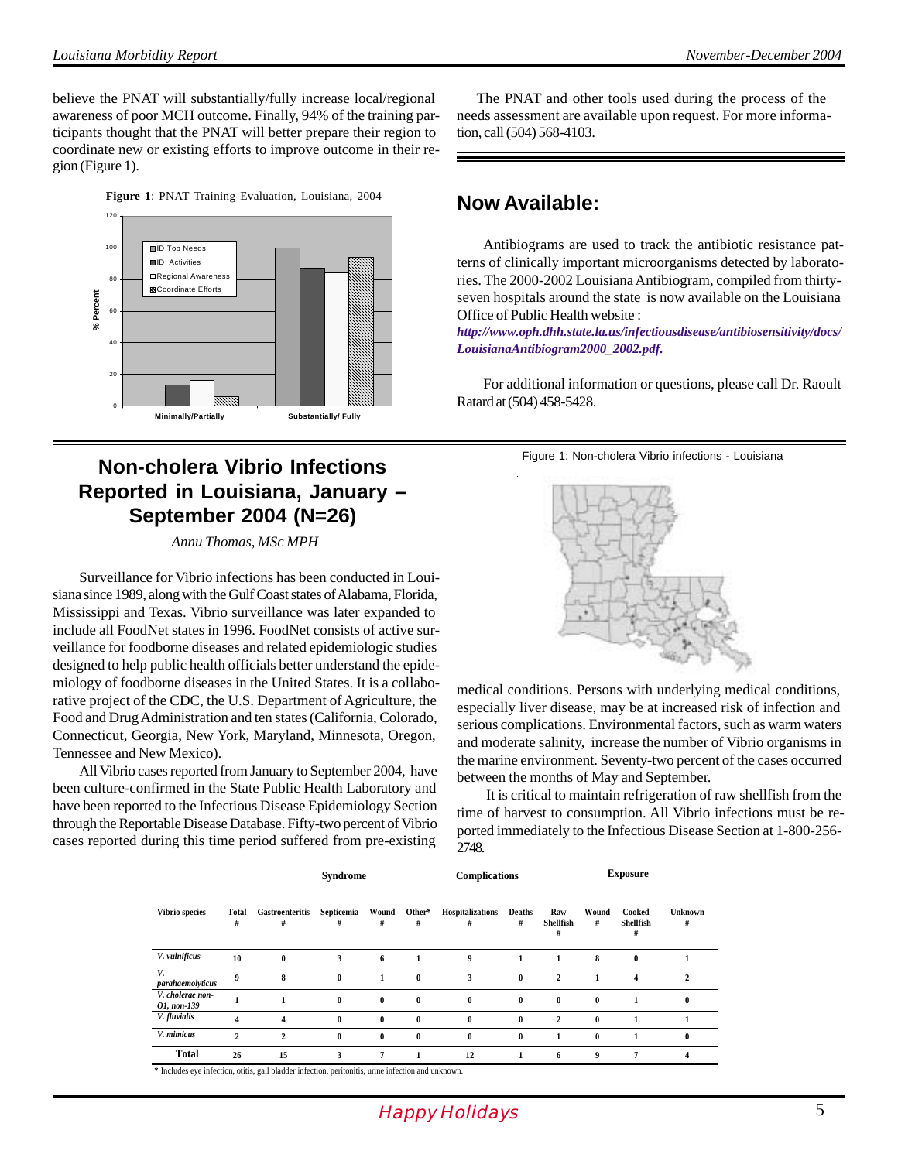believe the PNAT will substantially/fully increase local/regional awareness of poor MCH outcome. Finally, 94% of the training participants thought that the PNAT will better prepare their region to coordinate new or existing efforts to improve outcome in their region (Figure 1).





# **Non-cholera Vibrio Infections Reported in Louisiana, January – September 2004 (N=26)**

*Annu Thomas, MSc MPH*

Surveillance for Vibrio infections has been conducted in Louisiana since 1989, along with the Gulf Coast states of Alabama, Florida, Mississippi and Texas. Vibrio surveillance was later expanded to include all FoodNet states in 1996. FoodNet consists of active surveillance for foodborne diseases and related epidemiologic studies designed to help public health officials better understand the epidemiology of foodborne diseases in the United States. It is a collaborative project of the CDC, the U.S. Department of Agriculture, the Food and Drug Administration and ten states (California, Colorado, Connecticut, Georgia, New York, Maryland, Minnesota, Oregon, Tennessee and New Mexico).

All Vibrio cases reported from January to September 2004, have been culture-confirmed in the State Public Health Laboratory and have been reported to the Infectious Disease Epidemiology Section through the Reportable Disease Database. Fifty-two percent of Vibrio cases reported during this time period suffered from pre-existing

 The PNAT and other tools used during the process of the needs assessment are available upon request. For more information, call (504) 568-4103.

# **Now Available:**

Antibiograms are used to track the antibiotic resistance patterns of clinically important microorganisms detected by laboratories. The 2000-2002 Louisiana Antibiogram, compiled from thirtyseven hospitals around the state is now available on the Louisiana Office of Public Health website :

*http://www.oph.dhh.state.la.us/infectiousdisease/antibiosensitivity/docs/ LouisianaAntibiogram2000\_2002.pdf.*

For additional information or questions, please call Dr. Raoult Ratard at (504) 458-5428.

Figure 1: Non-cholera Vibrio infections - Louisiana



medical conditions. Persons with underlying medical conditions, especially liver disease, may be at increased risk of infection and serious complications. Environmental factors, such as warm waters and moderate salinity, increase the number of Vibrio organisms in the marine environment. Seventy-two percent of the cases occurred between the months of May and September.

 It is critical to maintain refrigeration of raw shellfish from the time of harvest to consumption. All Vibrio infections must be reported immediately to the Infectious Disease Section at 1-800-256- 2748.

|                                 |                  |                         | Syndrome        |            |              | Complications         |                    |                              |              | <b>Exposure</b>                 |              |
|---------------------------------|------------------|-------------------------|-----------------|------------|--------------|-----------------------|--------------------|------------------------------|--------------|---------------------------------|--------------|
| Vibrio species                  | Total<br>#       | Gastroenteritis<br>#    | Septicemia<br># | Wound<br># | Other*<br>#  | Hospitalizations<br># | <b>Deaths</b><br># | Raw<br><b>Shellfish</b><br># | Wound<br>#   | Cooked<br><b>Shellfish</b><br># | Unknown<br># |
| V. vulnificus                   | 10               | $\bf{0}$                | 3               | 6          | 1            | 9                     | 1                  |                              | 8            | $\bf{0}$                        |              |
| V.<br>parahaemolyticus          | $\boldsymbol{Q}$ | 8                       | $\bf{0}$        | 1          | $\bf{0}$     | 3                     | $\bf{0}$           | $\mathbf{2}$                 |              | 4                               |              |
| V. cholerae non-<br>O1, non-139 |                  |                         | $\bf{0}$        | $\bf{0}$   | $\mathbf{0}$ | $\bf{0}$              | $\bf{0}$           | $\bf{0}$                     | $\bf{0}$     |                                 |              |
| V. fluvialis                    | 4                | 4                       | $\bf{0}$        | $\bf{0}$   | $\theta$     | $\mathbf{0}$          | $\bf{0}$           | $\mathbf{2}$                 | $\bf{0}$     |                                 |              |
| V. mimicus                      | $\mathbf{2}$     | $\overline{\mathbf{c}}$ | $\bf{0}$        | $\bf{0}$   | $\bf{0}$     | $\bf{0}$              | $\bf{0}$           |                              | $\mathbf{0}$ |                                 |              |
| <b>Total</b>                    | 26               | 15                      | 3               | 7          | 1            | 12                    |                    | 6                            | 9            | 7                               | 4            |

 **\*** Includes eye infection, otitis, gall bladder infection, peritonitis, urine infection and unknown.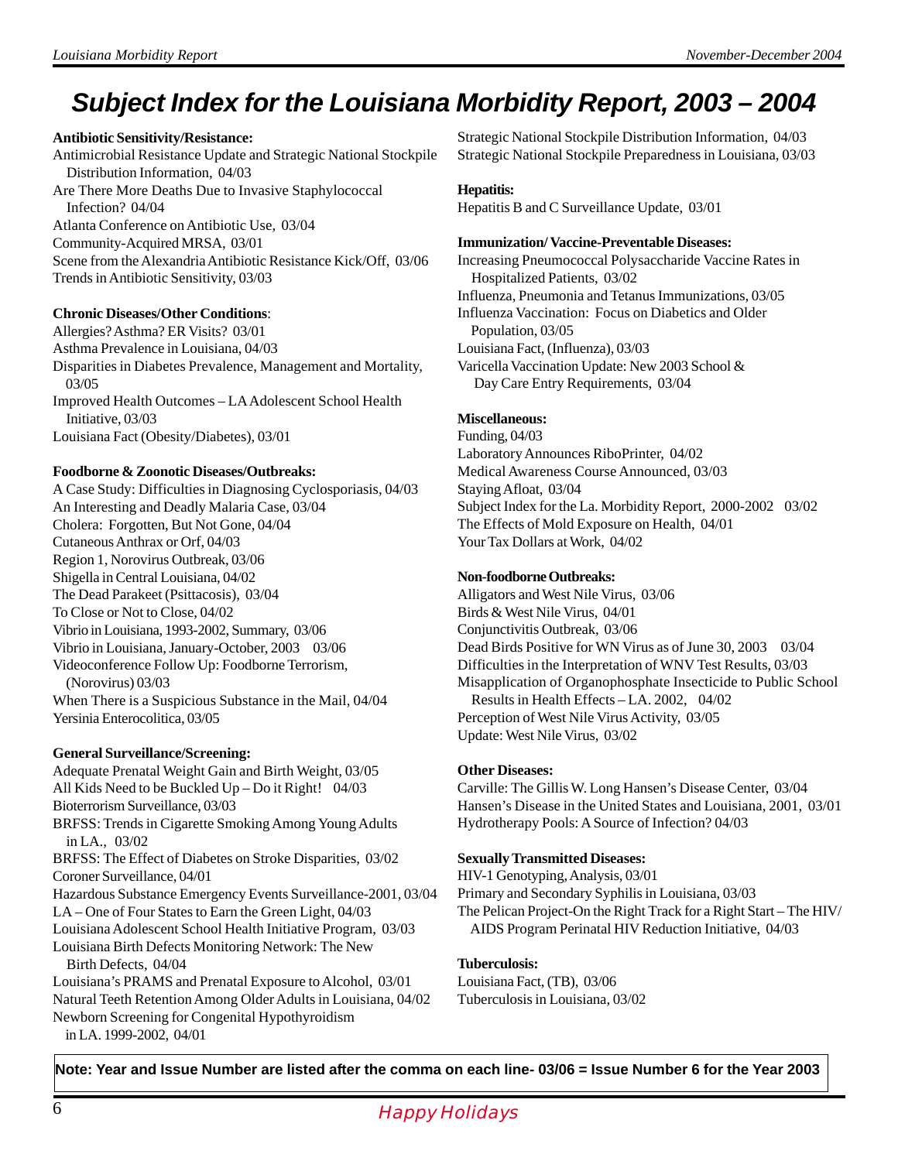# **Subject Index for the Louisiana Morbidity Report, 2003 – 2004**

#### **Antibiotic Sensitivity/Resistance:**

Antimicrobial Resistance Update and Strategic National Stockpile Distribution Information, 04/03 Are There More Deaths Due to Invasive Staphylococcal Infection? 04/04 Atlanta Conference on Antibiotic Use, 03/04 Community-Acquired MRSA, 03/01 Scene from the Alexandria Antibiotic Resistance Kick/Off, 03/06 Trends in Antibiotic Sensitivity, 03/03

#### **Chronic Diseases/Other Conditions**:

Allergies? Asthma? ER Visits? 03/01 Asthma Prevalence in Louisiana, 04/03 Disparities in Diabetes Prevalence, Management and Mortality, 03/05 Improved Health Outcomes – LA Adolescent School Health Initiative, 03/03 Louisiana Fact (Obesity/Diabetes), 03/01

#### **Foodborne & Zoonotic Diseases/Outbreaks:**

A Case Study: Difficulties in Diagnosing Cyclosporiasis, 04/03 An Interesting and Deadly Malaria Case, 03/04 Cholera: Forgotten, But Not Gone, 04/04 Cutaneous Anthrax or Orf, 04/03 Region 1, Norovirus Outbreak, 03/06 Shigella in Central Louisiana, 04/02 The Dead Parakeet (Psittacosis), 03/04 To Close or Not to Close, 04/02 Vibrio in Louisiana, 1993-2002, Summary, 03/06 Vibrio in Louisiana, January-October, 2003 03/06 Videoconference Follow Up: Foodborne Terrorism, (Norovirus) 03/03 When There is a Suspicious Substance in the Mail, 04/04 Yersinia Enterocolitica, 03/05

#### **General Surveillance/Screening:**

Adequate Prenatal Weight Gain and Birth Weight, 03/05 All Kids Need to be Buckled Up – Do it Right! 04/03 Bioterrorism Surveillance, 03/03 BRFSS: Trends in Cigarette Smoking Among Young Adults in LA., 03/02 BRFSS: The Effect of Diabetes on Stroke Disparities, 03/02 Coroner Surveillance, 04/01 Hazardous Substance Emergency Events Surveillance-2001, 03/04 LA – One of Four States to Earn the Green Light, 04/03 Louisiana Adolescent School Health Initiative Program, 03/03 Louisiana Birth Defects Monitoring Network: The New Birth Defects, 04/04 Louisiana's PRAMS and Prenatal Exposure to Alcohol, 03/01

Natural Teeth Retention Among Older Adults in Louisiana, 04/02 Newborn Screening for Congenital Hypothyroidism in LA. 1999-2002, 04/01

Strategic National Stockpile Distribution Information, 04/03 Strategic National Stockpile Preparedness in Louisiana, 03/03

#### **Hepatitis:**

Hepatitis B and C Surveillance Update, 03/01

#### **Immunization/ Vaccine-Preventable Diseases:**

Increasing Pneumococcal Polysaccharide Vaccine Rates in Hospitalized Patients, 03/02 Influenza, Pneumonia and Tetanus Immunizations, 03/05 Influenza Vaccination: Focus on Diabetics and Older Population, 03/05 Louisiana Fact, (Influenza), 03/03 Varicella Vaccination Update: New 2003 School & Day Care Entry Requirements, 03/04

#### **Miscellaneous:**

Funding, 04/03 Laboratory Announces RiboPrinter, 04/02 Medical Awareness Course Announced, 03/03 Staying Afloat, 03/04 Subject Index for the La. Morbidity Report, 2000-2002 03/02 The Effects of Mold Exposure on Health, 04/01 Your Tax Dollars at Work, 04/02

#### **Non-foodborne Outbreaks:**

Alligators and West Nile Virus, 03/06 Birds & West Nile Virus, 04/01 Conjunctivitis Outbreak, 03/06 Dead Birds Positive for WN Virus as of June 30, 2003 03/04 Difficulties in the Interpretation of WNV Test Results, 03/03 Misapplication of Organophosphate Insecticide to Public School Results in Health Effects – LA. 2002, 04/02 Perception of West Nile Virus Activity, 03/05 Update: West Nile Virus, 03/02

#### **Other Diseases:**

Carville: The Gillis W. Long Hansen's Disease Center, 03/04 Hansen's Disease in the United States and Louisiana, 2001, 03/01 Hydrotherapy Pools: A Source of Infection? 04/03

#### **Sexually Transmitted Diseases:**

HIV-1 Genotyping, Analysis, 03/01 Primary and Secondary Syphilis in Louisiana, 03/03 The Pelican Project-On the Right Track for a Right Start – The HIV/ AIDS Program Perinatal HIV Reduction Initiative, 04/03

#### **Tuberculosis:**

Louisiana Fact, (TB), 03/06 Tuberculosis in Louisiana, 03/02

**Note: Year and Issue Number are listed after the comma on each line- 03/06 = Issue Number 6 for the Year 2003**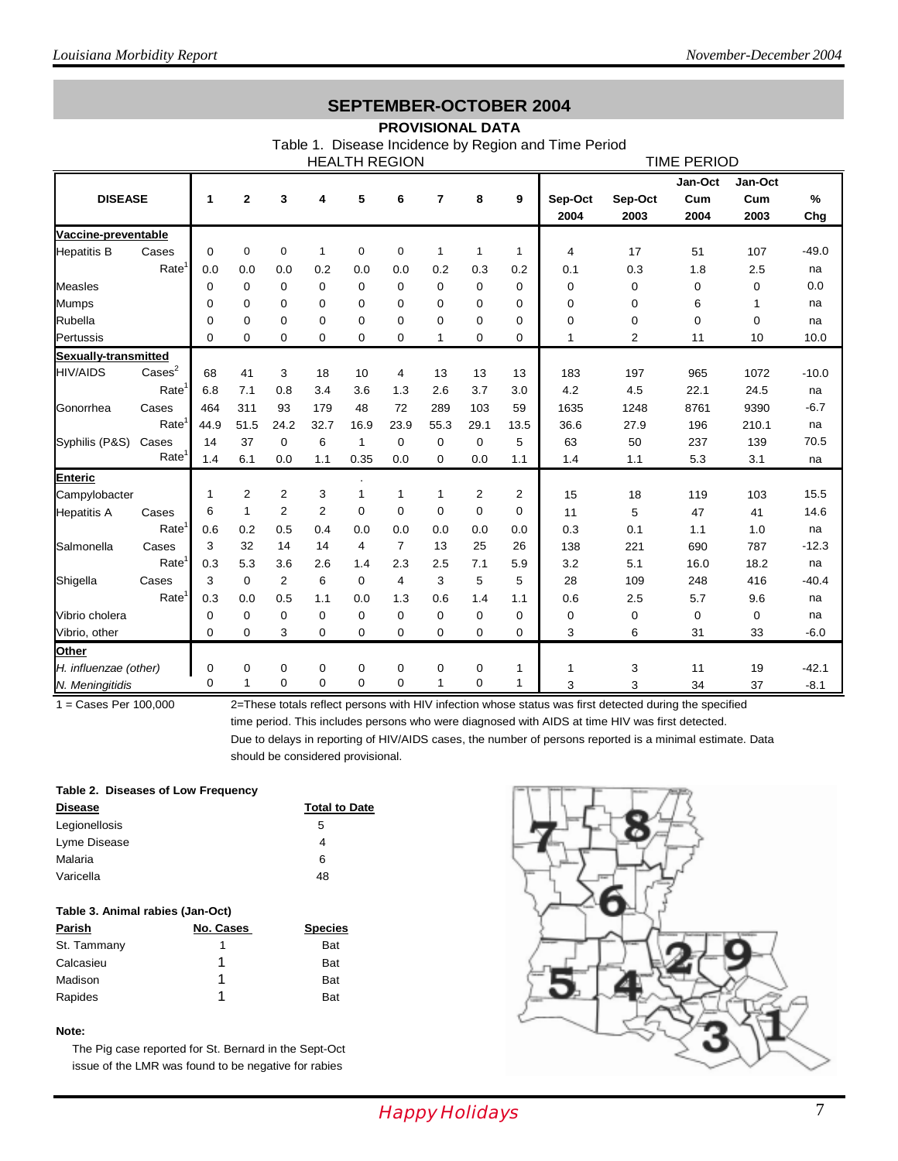### **SEPTEMBER-OCTOBER 2004**

#### **PROVISIONAL DATA**

Table 1. Disease Incidence by Region and Time Period

| <b>HEALTH REGION</b>  |                   |          |                  |                |                |              |                | <b>TIME PERIOD</b> |                |      |             |          |         |             |         |
|-----------------------|-------------------|----------|------------------|----------------|----------------|--------------|----------------|--------------------|----------------|------|-------------|----------|---------|-------------|---------|
|                       |                   |          |                  |                |                |              |                |                    |                |      |             |          | Jan-Oct | Jan-Oct     |         |
| <b>DISEASE</b>        |                   | 1        | $\mathbf 2$      | 3              | 4              | 5            | 6              | 7                  | 8              | 9    | Sep-Oct     | Sep-Oct  | Cum     | Cum         | %       |
|                       |                   |          |                  |                |                |              |                |                    |                |      | 2004        | 2003     | 2004    | 2003        | Chg     |
| Vaccine-preventable   |                   |          |                  |                |                |              |                |                    |                |      |             |          |         |             |         |
| <b>Hepatitis B</b>    | Cases             | $\Omega$ | $\mathbf 0$      | $\mathbf 0$    | $\mathbf{1}$   | $\mathbf 0$  | $\mathbf 0$    | $\mathbf{1}$       | $\mathbf{1}$   | 1    | 4           | 17       | 51      | 107         | $-49.0$ |
|                       | Rate              | 0.0      | 0.0              | 0.0            | 0.2            | 0.0          | 0.0            | 0.2                | 0.3            | 0.2  | 0.1         | 0.3      | 1.8     | 2.5         | na      |
| <b>Measles</b>        |                   | 0        | 0                | $\mathbf 0$    | $\mathbf 0$    | $\mathbf 0$  | 0              | 0                  | $\pmb{0}$      | 0    | $\mathbf 0$ | 0        | 0       | $\mathbf 0$ | 0.0     |
| <b>Mumps</b>          |                   | 0        | 0                | $\mathbf 0$    | $\mathbf 0$    | $\mathbf 0$  | $\mathbf 0$    | 0                  | $\mathbf 0$    | 0    | $\Omega$    | $\Omega$ | 6       | 1           | na      |
| Rubella               |                   | 0        | $\mathbf 0$      | 0              | $\Omega$       | $\Omega$     | $\Omega$       | 0                  | $\mathbf 0$    | 0    | 0           | 0        | 0       | 0           | na      |
| Pertussis             |                   | $\Omega$ | $\mathbf 0$      | 0              | $\Omega$       | 0            | 0              | 1                  | $\mathbf 0$    | 0    | 1           | 2        | 11      | 10          | 10.0    |
| Sexually-transmitted  |                   |          |                  |                |                |              |                |                    |                |      |             |          |         |             |         |
| <b>HIV/AIDS</b>       | $\text{Case}^2$   | 68       | 41               | 3              | 18             | 10           | 4              | 13                 | 13             | 13   | 183         | 197      | 965     | 1072        | $-10.0$ |
|                       | Rate              | 6.8      | 7.1              | 0.8            | 3.4            | 3.6          | 1.3            | 2.6                | 3.7            | 3.0  | 4.2         | 4.5      | 22.1    | 24.5        | na      |
| Gonorrhea             | Cases             | 464      | 311              | 93             | 179            | 48           | 72             | 289                | 103            | 59   | 1635        | 1248     | 8761    | 9390        | $-6.7$  |
|                       | Rate <sup>1</sup> | 44.9     | 51.5             | 24.2           | 32.7           | 16.9         | 23.9           | 55.3               | 29.1           | 13.5 | 36.6        | 27.9     | 196     | 210.1       | na      |
| Syphilis (P&S)        | Cases             | 14       | 37               | $\mathbf 0$    | 6              | $\mathbf{1}$ | 0              | $\mathbf 0$        | $\mathbf 0$    | 5    | 63          | 50       | 237     | 139         | 70.5    |
|                       | Rate <sup>1</sup> | 1.4      | 6.1              | 0.0            | 1.1            | 0.35         | 0.0            | $\mathbf 0$        | 0.0            | 1.1  | 1.4         | 1.1      | 5.3     | 3.1         | na      |
| <b>Enteric</b>        |                   |          |                  |                |                |              |                |                    |                |      |             |          |         |             |         |
| Campylobacter         |                   | 1        | 2                | $\overline{2}$ | 3              | 1            | 1              | $\mathbf{1}$       | $\overline{2}$ | 2    | 15          | 18       | 119     | 103         | 15.5    |
| <b>Hepatitis A</b>    | Cases             | 6        | 1                | 2              | $\overline{2}$ | $\Omega$     | 0              | 0                  | $\mathbf 0$    | 0    | 11          | 5        | 47      | 41          | 14.6    |
|                       | Rate              | 0.6      | 0.2              | 0.5            | 0.4            | 0.0          | 0.0            | 0.0                | 0.0            | 0.0  | 0.3         | 0.1      | 1.1     | 1.0         | na      |
| Salmonella            | Cases             | 3        | 32               | 14             | 14             | 4            | $\overline{7}$ | 13                 | 25             | 26   | 138         | 221      | 690     | 787         | $-12.3$ |
|                       | Rate <sup>1</sup> | 0.3      | 5.3              | 3.6            | 2.6            | 1.4          | 2.3            | 2.5                | 7.1            | 5.9  | 3.2         | 5.1      | 16.0    | 18.2        | na      |
| Shigella              | Cases             | 3        | 0                | $\overline{2}$ | 6              | $\Omega$     | 4              | 3                  | 5              | 5    | 28          | 109      | 248     | 416         | $-40.4$ |
|                       | Rate              | 0.3      | 0.0              | 0.5            | 1.1            | 0.0          | 1.3            | 0.6                | 1.4            | 1.1  | 0.6         | 2.5      | 5.7     | 9.6         | na      |
| Vibrio cholera        |                   | 0        | $\boldsymbol{0}$ | $\mathbf 0$    | $\mathbf 0$    | 0            | 0              | 0                  | $\mathbf 0$    | 0    | 0           | 0        | 0       | $\mathbf 0$ | na      |
| Vibrio, other         |                   | 0        | $\pmb{0}$        | 3              | $\mathbf 0$    | $\mathbf 0$  | $\mathbf 0$    | $\mathbf 0$        | $\mathbf 0$    | 0    | 3           | 6        | 31      | 33          | $-6.0$  |
| Other                 |                   |          |                  |                |                |              |                |                    |                |      |             |          |         |             |         |
| H. influenzae (other) |                   | 0        | 0                | 0              | 0              | 0            | 0              | 0                  | 0              | 1    | 1           | 3        | 11      | 19          | $-42.1$ |
| N. Meningitidis       |                   | 0        | $\mathbf{1}$     | 0              | $\mathbf 0$    | 0            | 0              | 1                  | 0              | 1    | 3           | 3        | 34      | 37          | $-8.1$  |

1 = Cases Per 100,000 2=These totals reflect persons with HIV infection whose status was first detected during the specified

time period. This includes persons who were diagnosed with AIDS at time HIV was first detected. Due to delays in reporting of HIV/AIDS cases, the number of persons reported is a minimal estimate. Data should be considered provisional.

#### **Table 2. Diseases of Low Frequency**

| <b>Disease</b> | <b>Total to Date</b> |
|----------------|----------------------|
| Legionellosis  | 5                    |
| Lyme Disease   | 4                    |
| Malaria        | 6                    |
| Varicella      | 48                   |
|                |                      |

#### **Table 3. Animal rabies (Jan-Oct)**

| Parish      | No. Cases | <b>Species</b> |
|-------------|-----------|----------------|
| St. Tammany |           | <b>Bat</b>     |
| Calcasieu   |           | <b>Bat</b>     |
| Madison     |           | <b>Bat</b>     |
| Rapides     | 1         | <b>Bat</b>     |

#### **Note:**

 The Pig case reported for St. Bernard in the Sept-Oct issue of the LMR was found to be negative for rabies